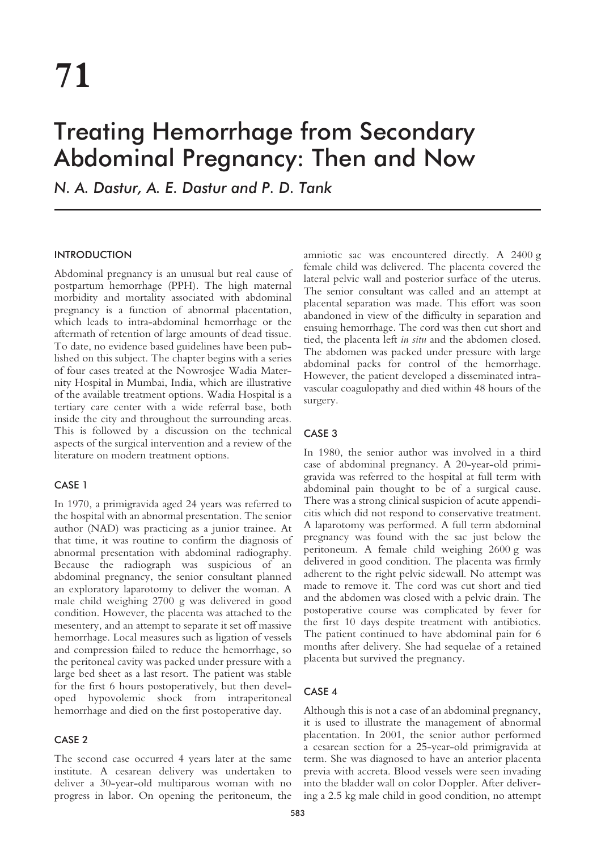# Treating Hemorrhage from Secondary Abdominal Pregnancy: Then and Now

*N. A. Dastur, A. E. Dastur and P. D. Tank*

# INTRODUCTION

Abdominal pregnancy is an unusual but real cause of postpartum hemorrhage (PPH). The high maternal morbidity and mortality associated with abdominal pregnancy is a function of abnormal placentation, which leads to intra-abdominal hemorrhage or the aftermath of retention of large amounts of dead tissue. To date, no evidence based guidelines have been published on this subject. The chapter begins with a series of four cases treated at the Nowrosjee Wadia Maternity Hospital in Mumbai, India, which are illustrative of the available treatment options. Wadia Hospital is a tertiary care center with a wide referral base, both inside the city and throughout the surrounding areas. This is followed by a discussion on the technical aspects of the surgical intervention and a review of the literature on modern treatment options.

# CASE 1

In 1970, a primigravida aged 24 years was referred to the hospital with an abnormal presentation. The senior author (NAD) was practicing as a junior trainee. At that time, it was routine to confirm the diagnosis of abnormal presentation with abdominal radiography. Because the radiograph was suspicious of an abdominal pregnancy, the senior consultant planned an exploratory laparotomy to deliver the woman. A male child weighing 2700 g was delivered in good condition. However, the placenta was attached to the mesentery, and an attempt to separate it set off massive hemorrhage. Local measures such as ligation of vessels and compression failed to reduce the hemorrhage, so the peritoneal cavity was packed under pressure with a large bed sheet as a last resort. The patient was stable for the first 6 hours postoperatively, but then developed hypovolemic shock from intraperitoneal hemorrhage and died on the first postoperative day.

# CASE 2

The second case occurred 4 years later at the same institute. A cesarean delivery was undertaken to deliver a 30-year-old multiparous woman with no progress in labor. On opening the peritoneum, the

amniotic sac was encountered directly. A 2400 g female child was delivered. The placenta covered the lateral pelvic wall and posterior surface of the uterus. The senior consultant was called and an attempt at placental separation was made. This effort was soon abandoned in view of the difficulty in separation and ensuing hemorrhage. The cord was then cut short and tied, the placenta left *in situ* and the abdomen closed. The abdomen was packed under pressure with large abdominal packs for control of the hemorrhage. However, the patient developed a disseminated intravascular coagulopathy and died within 48 hours of the surgery.

# CASE 3

In 1980, the senior author was involved in a third case of abdominal pregnancy. A 20-year-old primigravida was referred to the hospital at full term with abdominal pain thought to be of a surgical cause. There was a strong clinical suspicion of acute appendicitis which did not respond to conservative treatment. A laparotomy was performed. A full term abdominal pregnancy was found with the sac just below the peritoneum. A female child weighing 2600 g was delivered in good condition. The placenta was firmly adherent to the right pelvic sidewall. No attempt was made to remove it. The cord was cut short and tied and the abdomen was closed with a pelvic drain. The postoperative course was complicated by fever for the first 10 days despite treatment with antibiotics. The patient continued to have abdominal pain for 6 months after delivery. She had sequelae of a retained placenta but survived the pregnancy.

# CASE 4

Although this is not a case of an abdominal pregnancy, it is used to illustrate the management of abnormal placentation. In 2001, the senior author performed a cesarean section for a 25-year-old primigravida at term. She was diagnosed to have an anterior placenta previa with accreta. Blood vessels were seen invading into the bladder wall on color Doppler. After delivering a 2.5 kg male child in good condition, no attempt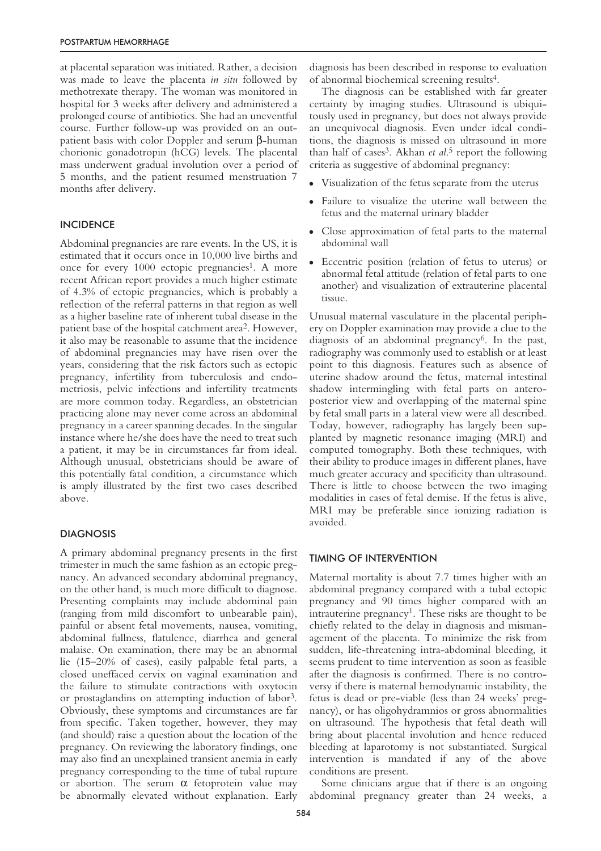at placental separation was initiated. Rather, a decision was made to leave the placenta *in situ* followed by methotrexate therapy. The woman was monitored in hospital for 3 weeks after delivery and administered a prolonged course of antibiotics. She had an uneventful course. Further follow-up was provided on an outpatient basis with color Doppler and serum β-human chorionic gonadotropin (hCG) levels. The placental mass underwent gradual involution over a period of 5 months, and the patient resumed menstruation 7 months after delivery.

#### **INCIDENCE**

Abdominal pregnancies are rare events. In the US, it is estimated that it occurs once in 10,000 live births and once for every 1000 ectopic pregnancies<sup>1</sup>. A more recent African report provides a much higher estimate of 4.3% of ectopic pregnancies, which is probably a reflection of the referral patterns in that region as well as a higher baseline rate of inherent tubal disease in the patient base of the hospital catchment area2. However, it also may be reasonable to assume that the incidence of abdominal pregnancies may have risen over the years, considering that the risk factors such as ectopic pregnancy, infertility from tuberculosis and endometriosis, pelvic infections and infertility treatments are more common today. Regardless, an obstetrician practicing alone may never come across an abdominal pregnancy in a career spanning decades. In the singular instance where he/she does have the need to treat such a patient, it may be in circumstances far from ideal. Although unusual, obstetricians should be aware of this potentially fatal condition, a circumstance which is amply illustrated by the first two cases described above.

#### **DIAGNOSIS**

A primary abdominal pregnancy presents in the first trimester in much the same fashion as an ectopic pregnancy. An advanced secondary abdominal pregnancy, on the other hand, is much more difficult to diagnose. Presenting complaints may include abdominal pain (ranging from mild discomfort to unbearable pain), painful or absent fetal movements, nausea, vomiting, abdominal fullness, flatulence, diarrhea and general malaise. On examination, there may be an abnormal lie (15–20% of cases), easily palpable fetal parts, a closed uneffaced cervix on vaginal examination and the failure to stimulate contractions with oxytocin or prostaglandins on attempting induction of labor3. Obviously, these symptoms and circumstances are far from specific. Taken together, however, they may (and should) raise a question about the location of the pregnancy. On reviewing the laboratory findings, one may also find an unexplained transient anemia in early pregnancy corresponding to the time of tubal rupture or abortion. The serum  $\alpha$  fetoprotein value may be abnormally elevated without explanation. Early

diagnosis has been described in response to evaluation of abnormal biochemical screening results4.

The diagnosis can be established with far greater certainty by imaging studies. Ultrasound is ubiquitously used in pregnancy, but does not always provide an unequivocal diagnosis. Even under ideal conditions, the diagnosis is missed on ultrasound in more than half of cases3. Akhan *et al*. <sup>5</sup> report the following criteria as suggestive of abdominal pregnancy:

- Visualization of the fetus separate from the uterus
- Failure to visualize the uterine wall between the fetus and the maternal urinary bladder
- Close approximation of fetal parts to the maternal abdominal wall
- Eccentric position (relation of fetus to uterus) or abnormal fetal attitude (relation of fetal parts to one another) and visualization of extrauterine placental tissue.

Unusual maternal vasculature in the placental periphery on Doppler examination may provide a clue to the diagnosis of an abdominal pregnancy6. In the past, radiography was commonly used to establish or at least point to this diagnosis. Features such as absence of uterine shadow around the fetus, maternal intestinal shadow intermingling with fetal parts on anteroposterior view and overlapping of the maternal spine by fetal small parts in a lateral view were all described. Today, however, radiography has largely been supplanted by magnetic resonance imaging (MRI) and computed tomography. Both these techniques, with their ability to produce images in different planes, have much greater accuracy and specificity than ultrasound. There is little to choose between the two imaging modalities in cases of fetal demise. If the fetus is alive, MRI may be preferable since ionizing radiation is avoided.

#### TIMING OF INTERVENTION

Maternal mortality is about 7.7 times higher with an abdominal pregnancy compared with a tubal ectopic pregnancy and 90 times higher compared with an intrauterine pregnancy<sup>1</sup>. These risks are thought to be chiefly related to the delay in diagnosis and mismanagement of the placenta. To minimize the risk from sudden, life-threatening intra-abdominal bleeding, it seems prudent to time intervention as soon as feasible after the diagnosis is confirmed. There is no controversy if there is maternal hemodynamic instability, the fetus is dead or pre-viable (less than 24 weeks' pregnancy), or has oligohydramnios or gross abnormalities on ultrasound. The hypothesis that fetal death will bring about placental involution and hence reduced bleeding at laparotomy is not substantiated. Surgical intervention is mandated if any of the above conditions are present.

Some clinicians argue that if there is an ongoing abdominal pregnancy greater than 24 weeks, a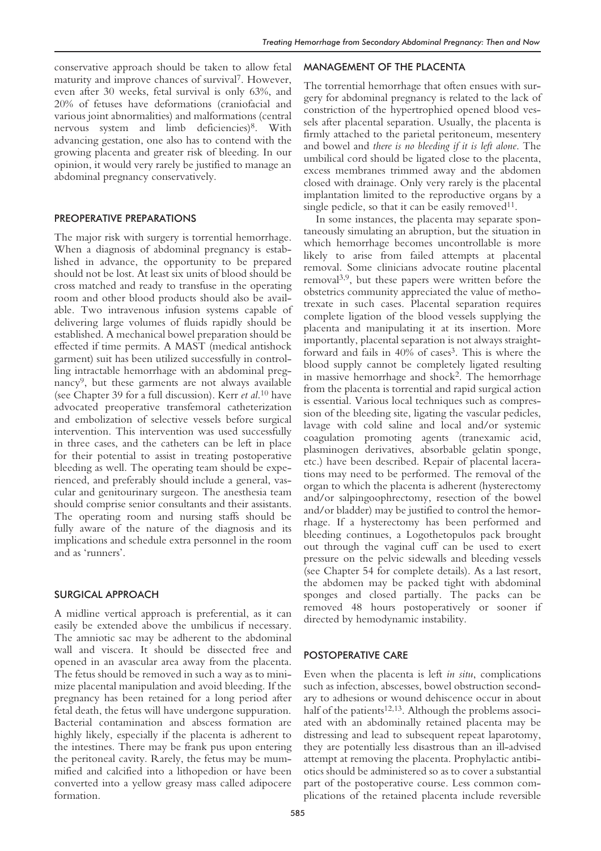conservative approach should be taken to allow fetal maturity and improve chances of survival7. However, even after 30 weeks, fetal survival is only 63%, and 20% of fetuses have deformations (craniofacial and various joint abnormalities) and malformations (central nervous system and limb deficiencies)<sup>8</sup>. With advancing gestation, one also has to contend with the growing placenta and greater risk of bleeding. In our opinion, it would very rarely be justified to manage an abdominal pregnancy conservatively.

#### PREOPERATIVE PREPARATIONS

The major risk with surgery is torrential hemorrhage. When a diagnosis of abdominal pregnancy is established in advance, the opportunity to be prepared should not be lost. At least six units of blood should be cross matched and ready to transfuse in the operating room and other blood products should also be available. Two intravenous infusion systems capable of delivering large volumes of fluids rapidly should be established. A mechanical bowel preparation should be effected if time permits. A MAST (medical antishock garment) suit has been utilized successfully in controlling intractable hemorrhage with an abdominal pregnancy9, but these garments are not always available (see Chapter 39 for a full discussion). Kerr *et al*. <sup>10</sup> have advocated preoperative transfemoral catheterization and embolization of selective vessels before surgical intervention. This intervention was used successfully in three cases, and the catheters can be left in place for their potential to assist in treating postoperative bleeding as well. The operating team should be experienced, and preferably should include a general, vascular and genitourinary surgeon. The anesthesia team should comprise senior consultants and their assistants. The operating room and nursing staffs should be fully aware of the nature of the diagnosis and its implications and schedule extra personnel in the room and as 'runners'.

#### SURGICAL APPROACH

A midline vertical approach is preferential, as it can easily be extended above the umbilicus if necessary. The amniotic sac may be adherent to the abdominal wall and viscera. It should be dissected free and opened in an avascular area away from the placenta. The fetus should be removed in such a way as to minimize placental manipulation and avoid bleeding. If the pregnancy has been retained for a long period after fetal death, the fetus will have undergone suppuration. Bacterial contamination and abscess formation are highly likely, especially if the placenta is adherent to the intestines. There may be frank pus upon entering the peritoneal cavity. Rarely, the fetus may be mummified and calcified into a lithopedion or have been converted into a yellow greasy mass called adipocere formation.

#### MANAGEMENT OF THE PLACENTA

The torrential hemorrhage that often ensues with surgery for abdominal pregnancy is related to the lack of constriction of the hypertrophied opened blood vessels after placental separation. Usually, the placenta is firmly attached to the parietal peritoneum, mesentery and bowel and *there is no bleeding if it is left alone*. The umbilical cord should be ligated close to the placenta, excess membranes trimmed away and the abdomen closed with drainage. Only very rarely is the placental implantation limited to the reproductive organs by a single pedicle, so that it can be easily removed<sup>11</sup>.

In some instances, the placenta may separate spontaneously simulating an abruption, but the situation in which hemorrhage becomes uncontrollable is more likely to arise from failed attempts at placental removal. Some clinicians advocate routine placental removal3,9, but these papers were written before the obstetrics community appreciated the value of methotrexate in such cases. Placental separation requires complete ligation of the blood vessels supplying the placenta and manipulating it at its insertion. More importantly, placental separation is not always straightforward and fails in 40% of cases<sup>3</sup>. This is where the blood supply cannot be completely ligated resulting in massive hemorrhage and shock<sup>2</sup>. The hemorrhage from the placenta is torrential and rapid surgical action is essential. Various local techniques such as compression of the bleeding site, ligating the vascular pedicles, lavage with cold saline and local and/or systemic coagulation promoting agents (tranexamic acid, plasminogen derivatives, absorbable gelatin sponge, etc.) have been described. Repair of placental lacerations may need to be performed. The removal of the organ to which the placenta is adherent (hysterectomy and/or salpingoophrectomy, resection of the bowel and/or bladder) may be justified to control the hemorrhage. If a hysterectomy has been performed and bleeding continues, a Logothetopulos pack brought out through the vaginal cuff can be used to exert pressure on the pelvic sidewalls and bleeding vessels (see Chapter 54 for complete details). As a last resort, the abdomen may be packed tight with abdominal sponges and closed partially. The packs can be removed 48 hours postoperatively or sooner if directed by hemodynamic instability.

#### POSTOPERATIVE CARE

Even when the placenta is left *in situ*, complications such as infection, abscesses, bowel obstruction secondary to adhesions or wound dehiscence occur in about half of the patients<sup>12,13</sup>. Although the problems associated with an abdominally retained placenta may be distressing and lead to subsequent repeat laparotomy, they are potentially less disastrous than an ill-advised attempt at removing the placenta. Prophylactic antibiotics should be administered so as to cover a substantial part of the postoperative course. Less common complications of the retained placenta include reversible